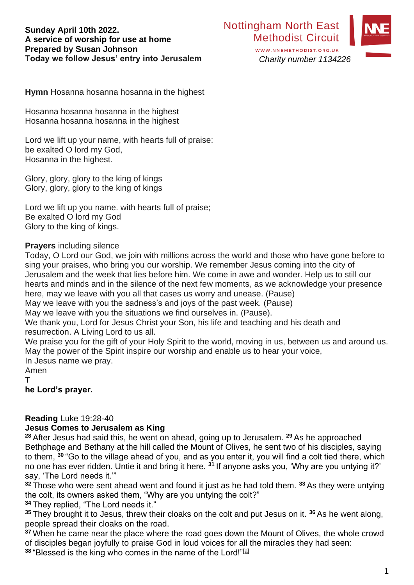### **Sunday April 10th 2022. A service of worship for use at home Prepared by Susan Johnson Today we follow Jesus' entry into Jerusalem**



*Charity number 1134226*



**Hymn** Hosanna hosanna hosanna in the highest

Hosanna hosanna hosanna in the highest Hosanna hosanna hosanna in the highest

Lord we lift up your name, with hearts full of praise: be exalted O lord my God, Hosanna in the highest.

Glory, glory, glory to the king of kings Glory, glory, glory to the king of kings

Lord we lift up you name. with hearts full of praise; Be exalted O lord my God Glory to the king of kings.

# **Prayers** including silence

Today, O Lord our God, we join with millions across the world and those who have gone before to sing your praises, who bring you our worship. We remember Jesus coming into the city of Jerusalem and the week that lies before him. We come in awe and wonder. Help us to still our hearts and minds and in the silence of the next few moments, as we acknowledge your presence here, may we leave with you all that cases us worry and unease. (Pause)

May we leave with you the sadness's and joys of the past week. (Pause)

May we leave with you the situations we find ourselves in. (Pause).

We thank you, Lord for Jesus Christ your Son, his life and teaching and his death and resurrection. A Living Lord to us all.

We praise you for the gift of your Holy Spirit to the world, moving in us, between us and around us. May the power of the Spirit inspire our worship and enable us to hear your voice, In Jesus name we pray.

Amen **T**

**he Lord's prayer.** 

# **Reading** Luke 19:28-40

# **Jesus Comes to Jerusalem as King**

**<sup>28</sup>** After Jesus had said this, he went on ahead, going up to Jerusalem. **<sup>29</sup>** As he approached Bethphage and Bethany at the hill called the Mount of Olives, he sent two of his disciples, saying to them, **<sup>30</sup>** "Go to the village ahead of you, and as you enter it, you will find a colt tied there, which no one has ever ridden. Untie it and bring it here. **<sup>31</sup>** If anyone asks you, 'Why are you untying it?' say, 'The Lord needs it.'"

**<sup>32</sup>** Those who were sent ahead went and found it just as he had told them. **<sup>33</sup>** As they were untying the colt, its owners asked them, "Why are you untying the colt?"

**<sup>34</sup>** They replied, "The Lord needs it."

**<sup>35</sup>** They brought it to Jesus, threw their cloaks on the colt and put Jesus on it. **<sup>36</sup>** As he went along, people spread their cloaks on the road.

**<sup>37</sup>** When he came near the place where the road goes down the Mount of Olives, the whole crowd of disciples began joyfully to praise God in loud voices for all the miracles they had seen:

**<sup>38</sup>** "Blessed is the king who comes in the name of the Lord!"[\[a\]](https://www.biblegateway.com/passage/?search=Luke%2019:28-40&version=NIV#fen-NIV-25770a)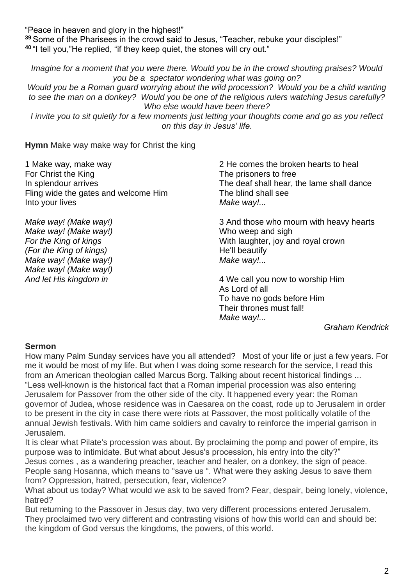"Peace in heaven and glory in the highest!" **<sup>39</sup>** Some of the Pharisees in the crowd said to Jesus, "Teacher, rebuke your disciples!" **<sup>40</sup>** "I tell you,"He replied, "if they keep quiet, the stones will cry out."

*Imagine for a moment that you were there. Would you be in the crowd shouting praises? Would you be a spectator wondering what was going on? Would you be a Roman guard worrying about the wild procession? Would you be a child wanting to see the man on a donkey? Would you be one of the religious rulers watching Jesus carefully? Who else would have been there? I invite you to sit quietly for a few moments just letting your thoughts come and go as you reflect on this day in Jesus' life.* 

**Hymn** Make way make way for Christ the king

1 Make way, make way For Christ the King In splendour arrives Fling wide the gates and welcome Him Into your lives

*Make way! (Make way!) Make way! (Make way!) For the King of kings (For the King of kings) Make way! (Make way!) Make way! (Make way!) And let His kingdom in*

2 He comes the broken hearts to heal The prisoners to free The deaf shall hear, the lame shall dance The blind shall see *Make way!...*

3 And those who mourn with heavy hearts Who weep and sigh With laughter, joy and royal crown He'll beautify *Make way!...*

4 We call you now to worship Him As Lord of all To have no gods before Him Their thrones must fall! *Make way!...*

*Graham Kendrick*

# **Sermon**

How many Palm Sunday services have you all attended? Most of your life or just a few years. For me it would be most of my life. But when I was doing some research for the service, I read this from an American theologian called Marcus Borg. Talking about recent historical findings ... "Less well-known is the historical fact that a Roman imperial procession was also entering Jerusalem for Passover from the other side of the city. It happened every year: the Roman governor of Judea, whose residence was in Caesarea on the coast, rode up to Jerusalem in order to be present in the city in case there were riots at Passover, the most politically volatile of the annual Jewish festivals. With him came soldiers and cavalry to reinforce the imperial garrison in Jerusalem.

It is clear what Pilate's procession was about. By proclaiming the pomp and power of empire, its purpose was to intimidate. But what about Jesus's procession, his entry into the city?" Jesus comes , as a wandering preacher, teacher and healer, on a donkey, the sign of peace. People sang Hosanna, which means to "save us ". What were they asking Jesus to save them from? Oppression, hatred, persecution, fear, violence?

What about us today? What would we ask to be saved from? Fear, despair, being lonely, violence, hatred?

But returning to the Passover in Jesus day, two very different processions entered Jerusalem. They proclaimed two very different and contrasting visions of how this world can and should be: the kingdom of God versus the kingdoms, the powers, of this world.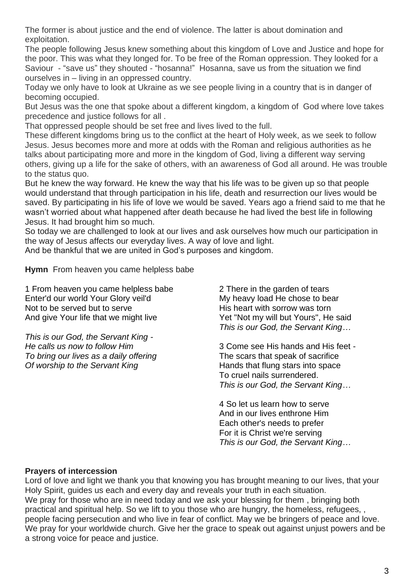The former is about justice and the end of violence. The latter is about domination and exploitation.

The people following Jesus knew something about this kingdom of Love and Justice and hope for the poor. This was what they longed for. To be free of the Roman oppression. They looked for a Saviour - "save us" they shouted - "hosanna!" Hosanna, save us from the situation we find ourselves in – living in an oppressed country.

Today we only have to look at Ukraine as we see people living in a country that is in danger of becoming occupied.

But Jesus was the one that spoke about a different kingdom, a kingdom of God where love takes precedence and justice follows for all .

That oppressed people should be set free and lives lived to the full.

These different kingdoms bring us to the conflict at the heart of Holy week, as we seek to follow Jesus. Jesus becomes more and more at odds with the Roman and religious authorities as he talks about participating more and more in the kingdom of God, living a different way serving others, giving up a life for the sake of others, with an awareness of God all around. He was trouble to the status quo.

But he knew the way forward. He knew the way that his life was to be given up so that people would understand that through participation in his life, death and resurrection our lives would be saved. By participating in his life of love we would be saved. Years ago a friend said to me that he wasn't worried about what happened after death because he had lived the best life in following Jesus. It had brought him so much.

So today we are challenged to look at our lives and ask ourselves how much our participation in the way of Jesus affects our everyday lives. A way of love and light.

And be thankful that we are united in God's purposes and kingdom.

**Hymn** From heaven you came helpless babe

1 From heaven you came helpless babe Enter'd our world Your Glory veil'd Not to be served but to serve And give Your life that we might live

*This is our God, the Servant King - He calls us now to follow Him To bring our lives as a daily offering Of worship to the Servant King*

2 There in the garden of tears My heavy load He chose to bear His heart with sorrow was torn Yet "Not my will but Yours", He said *This is our God, the Servant King…*

3 Come see His hands and His feet - The scars that speak of sacrifice Hands that flung stars into space To cruel nails surrendered. *This is our God, the Servant King…*

4 So let us learn how to serve And in our lives enthrone Him Each other's needs to prefer For it is Christ we're serving *This is our God, the Servant King…*

# **Prayers of intercession**

Lord of love and light we thank you that knowing you has brought meaning to our lives, that your Holy Spirit, guides us each and every day and reveals your truth in each situation. We pray for those who are in need today and we ask your blessing for them, bringing both practical and spiritual help. So we lift to you those who are hungry, the homeless, refugees, , people facing persecution and who live in fear of conflict. May we be bringers of peace and love. We pray for your worldwide church. Give her the grace to speak out against unjust powers and be a strong voice for peace and justice.